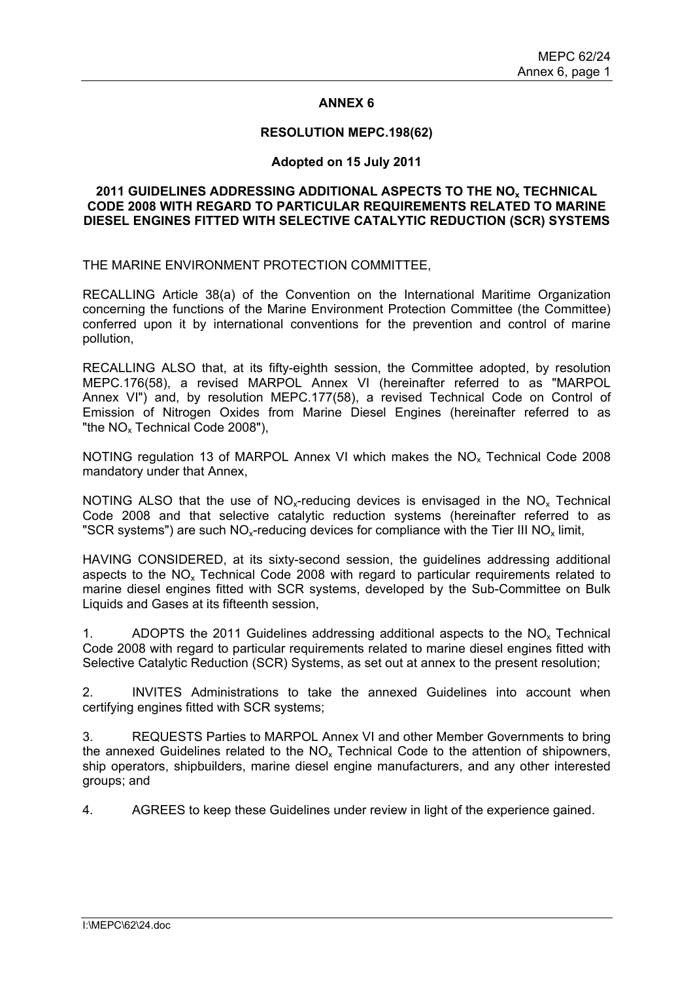### **ANNEX 6**

#### **RESOLUTION MEPC.198(62)**

#### **Adopted on 15 July 2011**

### **2011 GUIDELINES ADDRESSING ADDITIONAL ASPECTS TO THE NOx TECHNICAL CODE 2008 WITH REGARD TO PARTICULAR REQUIREMENTS RELATED TO MARINE DIESEL ENGINES FITTED WITH SELECTIVE CATALYTIC REDUCTION (SCR) SYSTEMS**

THE MARINE ENVIRONMENT PROTECTION COMMITTEE,

RECALLING Article 38(a) of the Convention on the International Maritime Organization concerning the functions of the Marine Environment Protection Committee (the Committee) conferred upon it by international conventions for the prevention and control of marine pollution,

RECALLING ALSO that, at its fifty-eighth session, the Committee adopted, by resolution MEPC.176(58), a revised MARPOL Annex VI (hereinafter referred to as "MARPOL Annex VI") and, by resolution MEPC.177(58), a revised Technical Code on Control of Emission of Nitrogen Oxides from Marine Diesel Engines (hereinafter referred to as "the NO<sub>x</sub> Technical Code 2008"),

NOTING regulation 13 of MARPOL Annex VI which makes the NO<sub>x</sub> Technical Code 2008 mandatory under that Annex,

NOTING ALSO that the use of  $NO<sub>x</sub>$ -reducing devices is envisaged in the NO<sub>x</sub> Technical Code 2008 and that selective catalytic reduction systems (hereinafter referred to as "SCR systems") are such  $NO<sub>x</sub>$ -reducing devices for compliance with the Tier III  $NO<sub>x</sub>$  limit,

HAVING CONSIDERED, at its sixty-second session, the guidelines addressing additional aspects to the  $NO<sub>x</sub>$  Technical Code 2008 with regard to particular requirements related to marine diesel engines fitted with SCR systems, developed by the Sub-Committee on Bulk Liquids and Gases at its fifteenth session,

1. ADOPTS the 2011 Guidelines addressing additional aspects to the  $NO<sub>x</sub>$  Technical Code 2008 with regard to particular requirements related to marine diesel engines fitted with Selective Catalytic Reduction (SCR) Systems, as set out at annex to the present resolution;

2. INVITES Administrations to take the annexed Guidelines into account when certifying engines fitted with SCR systems;

3. REQUESTS Parties to MARPOL Annex VI and other Member Governments to bring the annexed Guidelines related to the  $NO<sub>x</sub>$  Technical Code to the attention of shipowners, ship operators, shipbuilders, marine diesel engine manufacturers, and any other interested groups; and

4. AGREES to keep these Guidelines under review in light of the experience gained.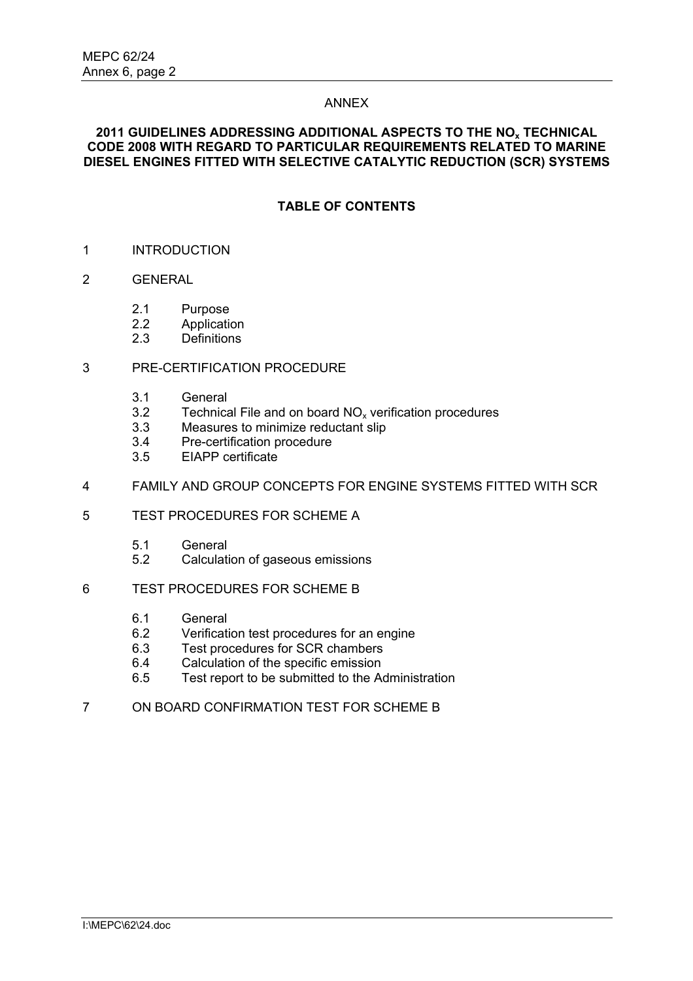### ANNEX

# **2011 GUIDELINES ADDRESSING ADDITIONAL ASPECTS TO THE NOx TECHNICAL CODE 2008 WITH REGARD TO PARTICULAR REQUIREMENTS RELATED TO MARINE DIESEL ENGINES FITTED WITH SELECTIVE CATALYTIC REDUCTION (SCR) SYSTEMS**

# **TABLE OF CONTENTS**

- 1 INTRODUCTION
- 2 GENERAL
	- 2.1 Purpose
	- 2.2 Application
	- 2.3 Definitions

# 3 PRE-CERTIFICATION PROCEDURE

- 3.1 General
- 3.2 Technical File and on board  $NO_x$  verification procedures<br>3.3 Measures to minimize reductant slip
- Measures to minimize reductant slip
- 3.4 Pre-certification procedure
- 3.5 EIAPP certificate
- 4 FAMILY AND GROUP CONCEPTS FOR ENGINE SYSTEMS FITTED WITH SCR
- 5 TEST PROCEDURES FOR SCHEME A
	- 5.1 General
	- 5.2 Calculation of gaseous emissions
- 6 TEST PROCEDURES FOR SCHEME B
	- 6.1 General<br>6.2 Verificati
	- 6.2 Verification test procedures for an engine<br>6.3 Test procedures for SCR chambers
	- Test procedures for SCR chambers
	- 6.4 Calculation of the specific emission
	- 6.5 Test report to be submitted to the Administration
- 7 ON BOARD CONFIRMATION TEST FOR SCHEME B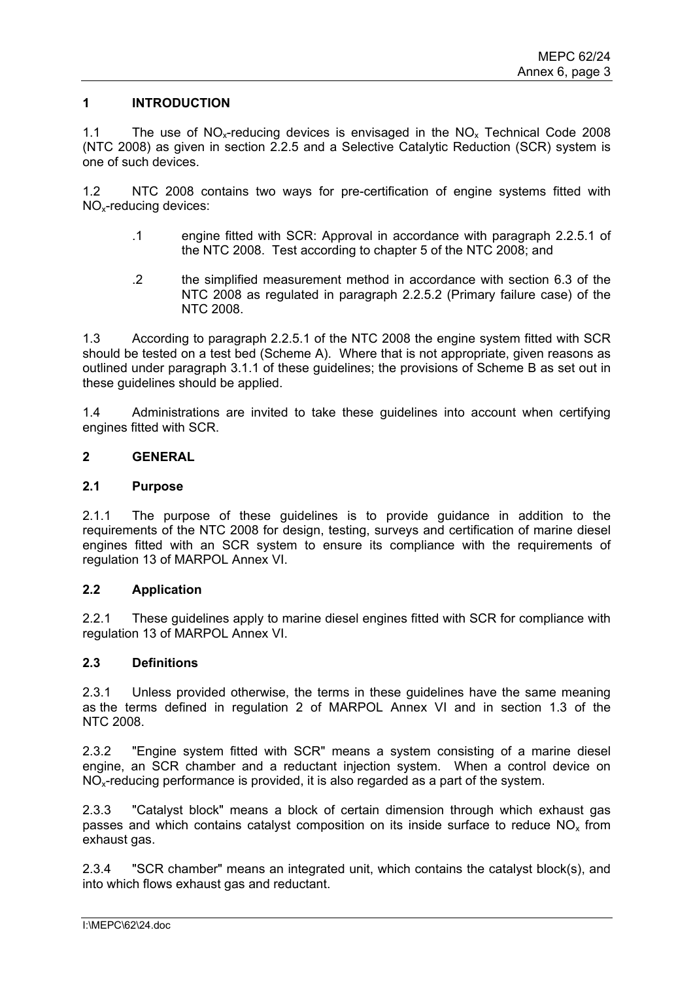# **1 INTRODUCTION**

1.1 The use of  $NO<sub>x</sub>$ -reducing devices is envisaged in the  $NO<sub>x</sub>$  Technical Code 2008 (NTC 2008) as given in section 2.2.5 and a Selective Catalytic Reduction (SCR) system is one of such devices.

1.2 NTC 2008 contains two ways for pre-certification of engine systems fitted with NOx-reducing devices:

- .1 engine fitted with SCR: Approval in accordance with paragraph 2.2.5.1 of the NTC 2008. Test according to chapter 5 of the NTC 2008; and
- .2 the simplified measurement method in accordance with section 6.3 of the NTC 2008 as regulated in paragraph 2.2.5.2 (Primary failure case) of the NTC 2008.

1.3 According to paragraph 2.2.5.1 of the NTC 2008 the engine system fitted with SCR should be tested on a test bed (Scheme A). Where that is not appropriate, given reasons as outlined under paragraph 3.1.1 of these guidelines; the provisions of Scheme B as set out in these guidelines should be applied.

1.4 Administrations are invited to take these guidelines into account when certifying engines fitted with SCR.

### **2 GENERAL**

#### **2.1 Purpose**

2.1.1 The purpose of these guidelines is to provide guidance in addition to the requirements of the NTC 2008 for design, testing, surveys and certification of marine diesel engines fitted with an SCR system to ensure its compliance with the requirements of regulation 13 of MARPOL Annex VI.

#### **2.2 Application**

2.2.1 These guidelines apply to marine diesel engines fitted with SCR for compliance with regulation 13 of MARPOL Annex VI.

# **2.3 Definitions**

2.3.1 Unless provided otherwise, the terms in these guidelines have the same meaning as the terms defined in regulation 2 of MARPOL Annex VI and in section 1.3 of the NTC 2008.

2.3.2 "Engine system fitted with SCR" means a system consisting of a marine diesel engine, an SCR chamber and a reductant injection system. When a control device on NOx-reducing performance is provided, it is also regarded as a part of the system.

2.3.3 "Catalyst block" means a block of certain dimension through which exhaust gas passes and which contains catalyst composition on its inside surface to reduce  $NO<sub>x</sub>$  from exhaust gas.

2.3.4 "SCR chamber" means an integrated unit, which contains the catalyst block(s), and into which flows exhaust gas and reductant.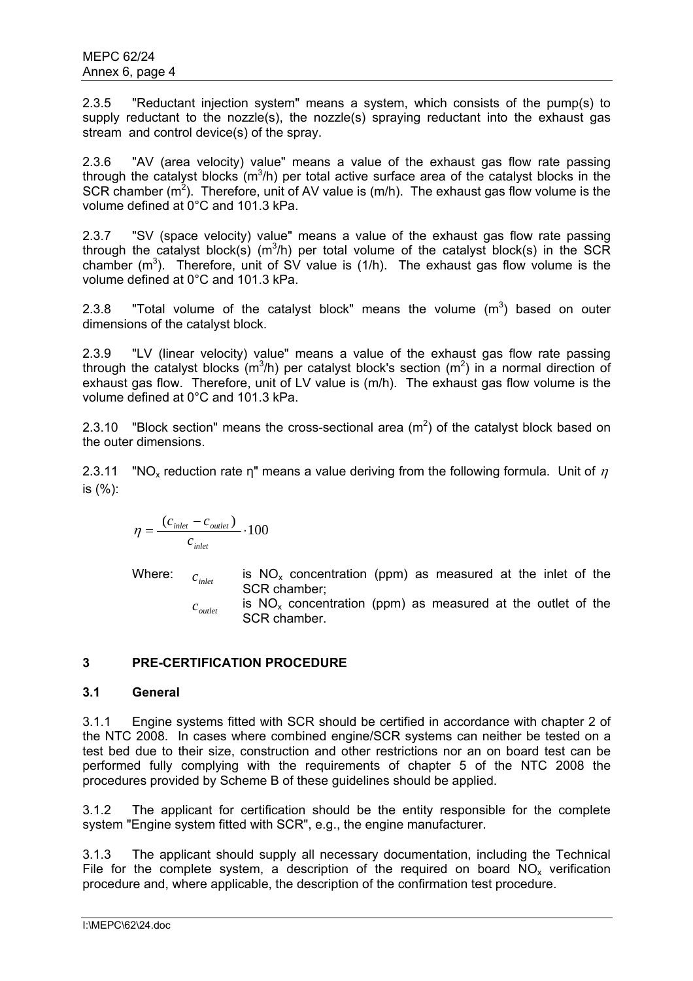2.3.5 "Reductant injection system" means a system, which consists of the pump(s) to supply reductant to the nozzle(s), the nozzle(s) spraying reductant into the exhaust gas stream and control device(s) of the spray.

2.3.6 "AV (area velocity) value" means a value of the exhaust gas flow rate passing through the catalyst blocks  $(m^3/h)$  per total active surface area of the catalyst blocks in the SCR chamber  $(m^2)$ . Therefore, unit of AV value is  $(m/h)$ . The exhaust gas flow volume is the volume defined at 0°C and 101.3 kPa.

2.3.7 "SV (space velocity) value" means a value of the exhaust gas flow rate passing through the catalyst block(s) (m<sup>3</sup>/h) per total volume of the catalyst block(s) in the SCR chamber  $(m^3)$ . Therefore, unit of SV value is  $(1/h)$ . The exhaust gas flow volume is the volume defined at 0°C and 101.3 kPa.

2.3.8 "Total volume of the catalyst block" means the volume  $(m^3)$  based on outer dimensions of the catalyst block.

2.3.9 "LV (linear velocity) value" means a value of the exhaust gas flow rate passing through the catalyst blocks (m<sup>3</sup>/h) per catalyst block's section (m<sup>2</sup>) in a normal direction of exhaust gas flow. Therefore, unit of LV value is (m/h). The exhaust gas flow volume is the volume defined at 0°C and 101.3 kPa.

2.3.10 "Block section" means the cross-sectional area ( $m<sup>2</sup>$ ) of the catalyst block based on the outer dimensions.

2.3.11 "NO<sub>x</sub> reduction rate η" means a value deriving from the following formula. Unit of  $\eta$ is (%):

$$
\eta = \frac{(c_{\text{inlet}} - c_{\text{outlet}})}{c_{\text{inlet}}} \cdot 100
$$

Where:  $c_{\scriptscriptstyle inlet}$  is NO<sub>x</sub> concentration (ppm) as measured at the inlet of the SCR chamber;

> $c_{\text{outlet}}$  is NO<sub>x</sub> concentration (ppm) as measured at the outlet of the SCR chamber.

# **3 PRE-CERTIFICATION PROCEDURE**

# **3.1 General**

3.1.1 Engine systems fitted with SCR should be certified in accordance with chapter 2 of the NTC 2008. In cases where combined engine/SCR systems can neither be tested on a test bed due to their size, construction and other restrictions nor an on board test can be performed fully complying with the requirements of chapter 5 of the NTC 2008 the procedures provided by Scheme B of these guidelines should be applied.

3.1.2 The applicant for certification should be the entity responsible for the complete system "Engine system fitted with SCR", e.g., the engine manufacturer.

3.1.3 The applicant should supply all necessary documentation, including the Technical File for the complete system, a description of the required on board  $NO<sub>x</sub>$  verification procedure and, where applicable, the description of the confirmation test procedure.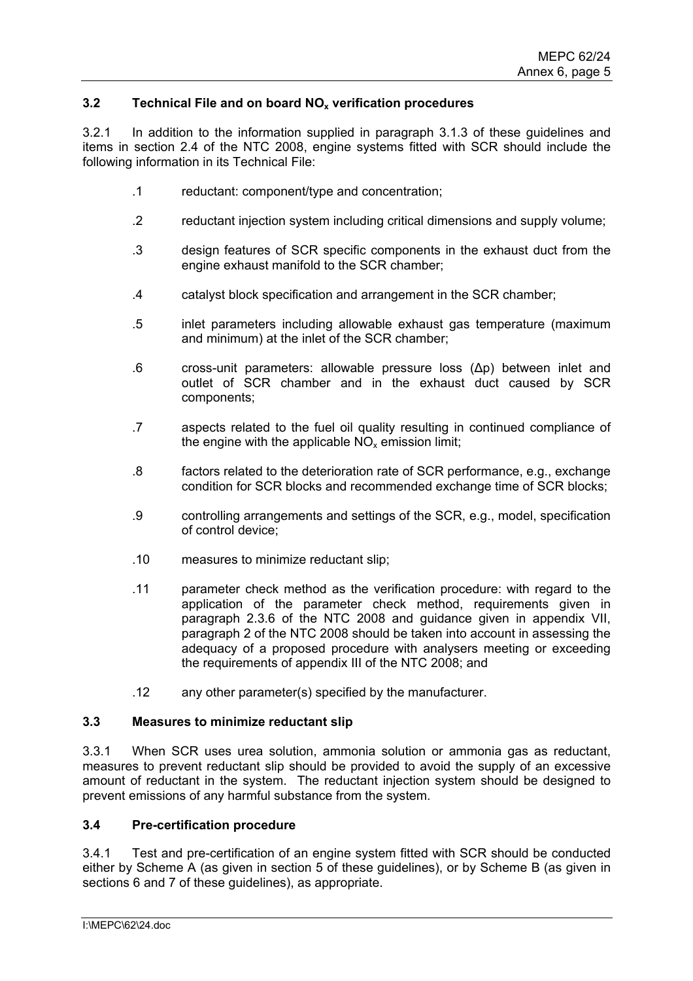# **3.2 Technical File and on board NOx verification procedures**

3.2.1 In addition to the information supplied in paragraph 3.1.3 of these guidelines and items in section 2.4 of the NTC 2008, engine systems fitted with SCR should include the following information in its Technical File:

- .1 reductant: component/type and concentration;
- .2 reductant injection system including critical dimensions and supply volume;
- .3 design features of SCR specific components in the exhaust duct from the engine exhaust manifold to the SCR chamber;
- .4 catalyst block specification and arrangement in the SCR chamber;
- .5 inlet parameters including allowable exhaust gas temperature (maximum and minimum) at the inlet of the SCR chamber;
- .6 cross-unit parameters: allowable pressure loss (∆p) between inlet and outlet of SCR chamber and in the exhaust duct caused by SCR components;
- .7 aspects related to the fuel oil quality resulting in continued compliance of the engine with the applicable  $NO<sub>x</sub>$  emission limit;
- .8 factors related to the deterioration rate of SCR performance, e.g., exchange condition for SCR blocks and recommended exchange time of SCR blocks;
- .9 controlling arrangements and settings of the SCR, e.g., model, specification of control device;
- .10 measures to minimize reductant slip;
- .11 parameter check method as the verification procedure: with regard to the application of the parameter check method, requirements given in paragraph 2.3.6 of the NTC 2008 and guidance given in appendix VII, paragraph 2 of the NTC 2008 should be taken into account in assessing the adequacy of a proposed procedure with analysers meeting or exceeding the requirements of appendix III of the NTC 2008; and
- .12 any other parameter(s) specified by the manufacturer.

### **3.3 Measures to minimize reductant slip**

3.3.1 When SCR uses urea solution, ammonia solution or ammonia gas as reductant, measures to prevent reductant slip should be provided to avoid the supply of an excessive amount of reductant in the system. The reductant injection system should be designed to prevent emissions of any harmful substance from the system.

#### **3.4 Pre-certification procedure**

3.4.1 Test and pre-certification of an engine system fitted with SCR should be conducted either by Scheme A (as given in section 5 of these guidelines), or by Scheme B (as given in sections 6 and 7 of these guidelines), as appropriate.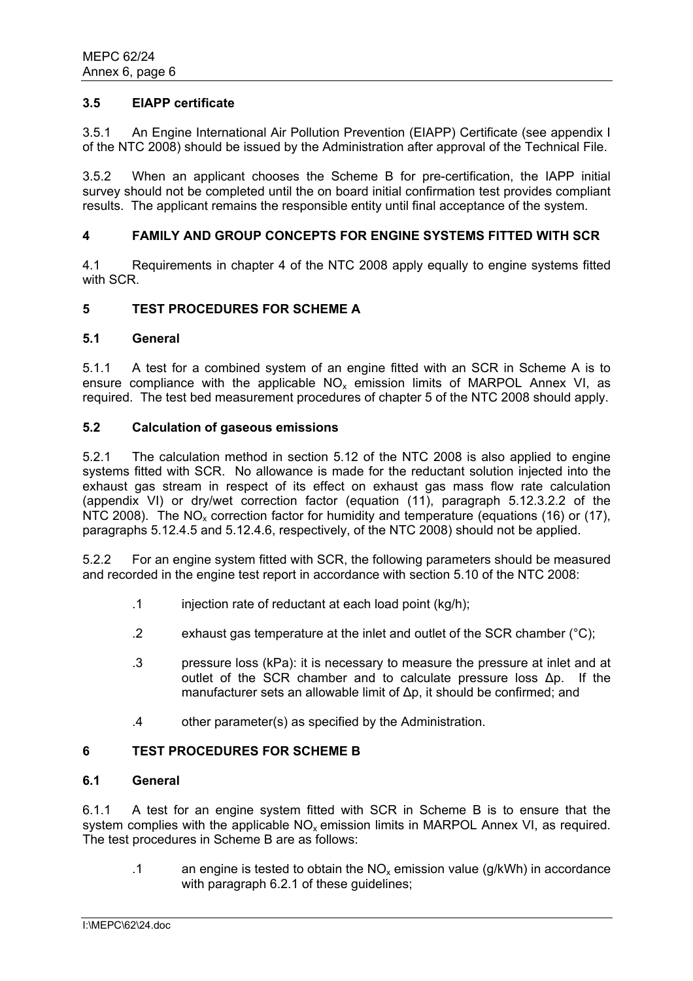### **3.5 EIAPP certificate**

3.5.1 An Engine International Air Pollution Prevention (EIAPP) Certificate (see appendix I of the NTC 2008) should be issued by the Administration after approval of the Technical File.

3.5.2 When an applicant chooses the Scheme B for pre-certification, the IAPP initial survey should not be completed until the on board initial confirmation test provides compliant results. The applicant remains the responsible entity until final acceptance of the system.

### **4 FAMILY AND GROUP CONCEPTS FOR ENGINE SYSTEMS FITTED WITH SCR**

4.1 Requirements in chapter 4 of the NTC 2008 apply equally to engine systems fitted with SCR.

### **5 TEST PROCEDURES FOR SCHEME A**

#### **5.1 General**

5.1.1 A test for a combined system of an engine fitted with an SCR in Scheme A is to ensure compliance with the applicable  $NO<sub>x</sub>$  emission limits of MARPOL Annex VI, as required. The test bed measurement procedures of chapter 5 of the NTC 2008 should apply.

## **5.2 Calculation of gaseous emissions**

5.2.1 The calculation method in section 5.12 of the NTC 2008 is also applied to engine systems fitted with SCR. No allowance is made for the reductant solution injected into the exhaust gas stream in respect of its effect on exhaust gas mass flow rate calculation (appendix VI) or dry/wet correction factor (equation (11), paragraph 5.12.3.2.2 of the NTC 2008). The  $NO_x$  correction factor for humidity and temperature (equations (16) or (17), paragraphs 5.12.4.5 and 5.12.4.6, respectively, of the NTC 2008) should not be applied.

5.2.2 For an engine system fitted with SCR, the following parameters should be measured and recorded in the engine test report in accordance with section 5.10 of the NTC 2008:

- .1 injection rate of reductant at each load point (kg/h);
- .2 exhaust gas temperature at the inlet and outlet of the SCR chamber (°C);
- .3 pressure loss (kPa): it is necessary to measure the pressure at inlet and at outlet of the SCR chamber and to calculate pressure loss ∆p. If the manufacturer sets an allowable limit of ∆p, it should be confirmed; and
- .4 other parameter(s) as specified by the Administration.

### **6 TEST PROCEDURES FOR SCHEME B**

#### **6.1 General**

6.1.1 A test for an engine system fitted with SCR in Scheme B is to ensure that the system complies with the applicable  $NO<sub>x</sub>$  emission limits in MARPOL Annex VI, as required. The test procedures in Scheme B are as follows:

.1 an engine is tested to obtain the  $NO<sub>x</sub>$  emission value (g/kWh) in accordance with paragraph 6.2.1 of these guidelines;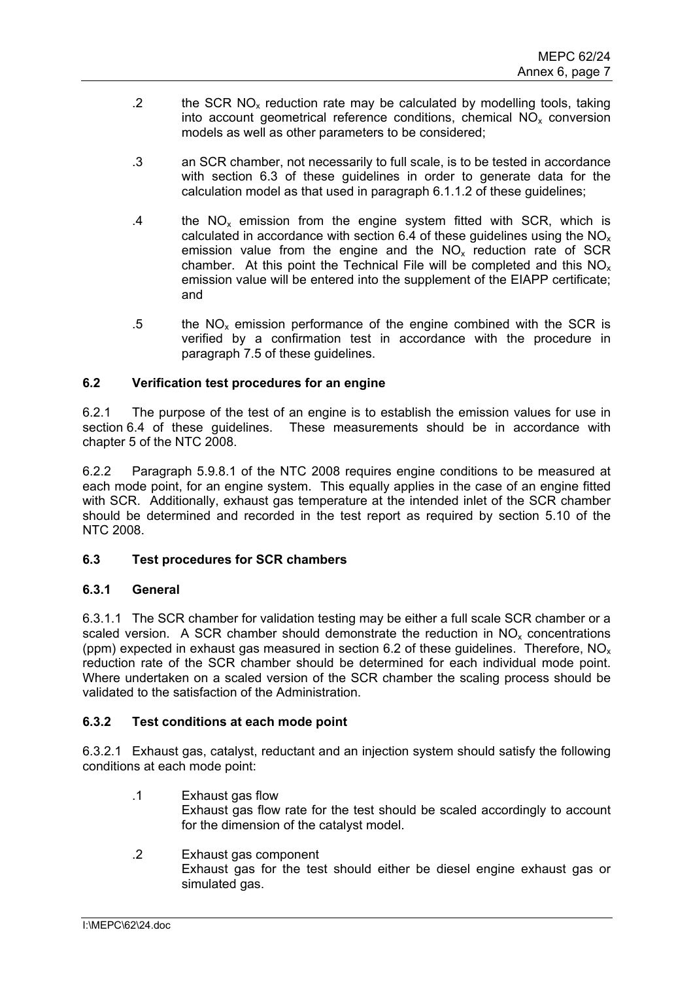- .2 the SCR  $NO<sub>x</sub>$  reduction rate may be calculated by modelling tools, taking into account geometrical reference conditions, chemical  $NO<sub>x</sub>$  conversion models as well as other parameters to be considered;
- .3 an SCR chamber, not necessarily to full scale, is to be tested in accordance with section 6.3 of these guidelines in order to generate data for the calculation model as that used in paragraph 6.1.1.2 of these guidelines;
- .4 the  $NO_x$  emission from the engine system fitted with SCR, which is calculated in accordance with section 6.4 of these guidelines using the  $NO<sub>x</sub>$ emission value from the engine and the  $NO<sub>x</sub>$  reduction rate of SCR chamber. At this point the Technical File will be completed and this  $NO<sub>x</sub>$ emission value will be entered into the supplement of the EIAPP certificate; and
- .5 the  $NO<sub>x</sub>$  emission performance of the engine combined with the SCR is verified by a confirmation test in accordance with the procedure in paragraph 7.5 of these guidelines.

# **6.2 Verification test procedures for an engine**

6.2.1 The purpose of the test of an engine is to establish the emission values for use in section 6.4 of these quidelines. These measurements should be in accordance with chapter 5 of the NTC 2008.

6.2.2 Paragraph 5.9.8.1 of the NTC 2008 requires engine conditions to be measured at each mode point, for an engine system. This equally applies in the case of an engine fitted with SCR. Additionally, exhaust gas temperature at the intended inlet of the SCR chamber should be determined and recorded in the test report as required by section 5.10 of the NTC 2008.

# **6.3 Test procedures for SCR chambers**

# **6.3.1 General**

6.3.1.1 The SCR chamber for validation testing may be either a full scale SCR chamber or a scaled version. A SCR chamber should demonstrate the reduction in  $NO<sub>x</sub>$  concentrations (ppm) expected in exhaust gas measured in section 6.2 of these guidelines. Therefore,  $NO<sub>x</sub>$ reduction rate of the SCR chamber should be determined for each individual mode point. Where undertaken on a scaled version of the SCR chamber the scaling process should be validated to the satisfaction of the Administration.

# **6.3.2 Test conditions at each mode point**

6.3.2.1 Exhaust gas, catalyst, reductant and an injection system should satisfy the following conditions at each mode point:

- .1 Exhaust gas flow Exhaust gas flow rate for the test should be scaled accordingly to account for the dimension of the catalyst model.
- .2 Exhaust gas component Exhaust gas for the test should either be diesel engine exhaust gas or simulated gas.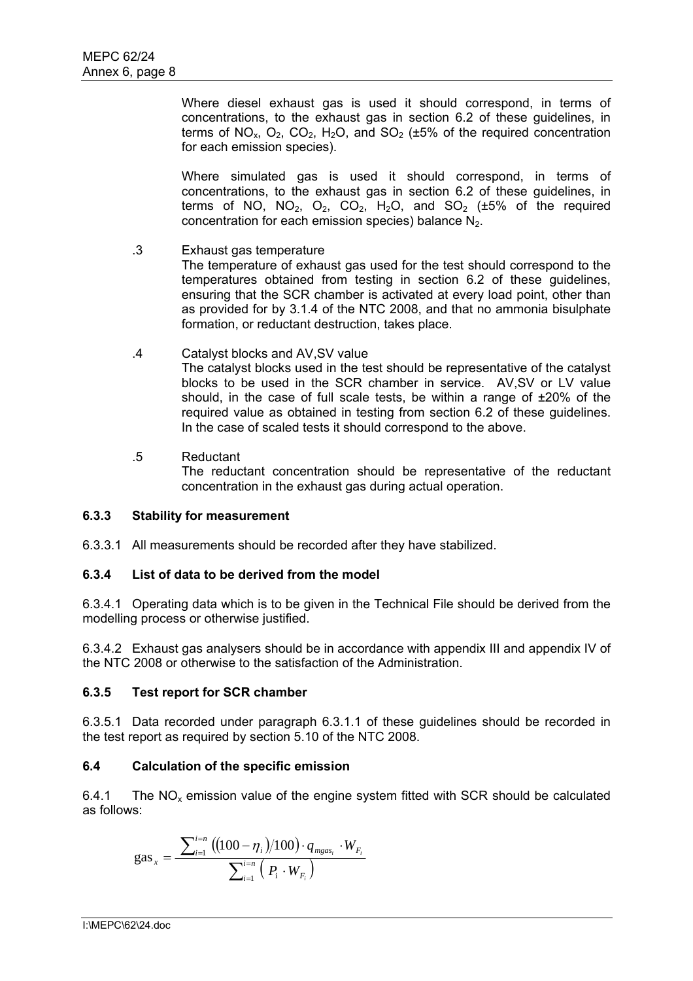Where diesel exhaust gas is used it should correspond, in terms of concentrations, to the exhaust gas in section 6.2 of these guidelines, in terms of  $NO_x$ ,  $O_2$ ,  $CO_2$ ,  $H_2O$ , and  $SO_2$  ( $\pm 5\%$  of the required concentration for each emission species).

Where simulated gas is used it should correspond, in terms of concentrations, to the exhaust gas in section 6.2 of these guidelines, in terms of NO, NO<sub>2</sub>, O<sub>2</sub>, CO<sub>2</sub>, H<sub>2</sub>O, and SO<sub>2</sub> ( $\pm$ 5% of the required concentration for each emission species) balance  $N_2$ .

.3 Exhaust gas temperature

The temperature of exhaust gas used for the test should correspond to the temperatures obtained from testing in section 6.2 of these guidelines, ensuring that the SCR chamber is activated at every load point, other than as provided for by 3.1.4 of the NTC 2008, and that no ammonia bisulphate formation, or reductant destruction, takes place.

.4 Catalyst blocks and AV,SV value

The catalyst blocks used in the test should be representative of the catalyst blocks to be used in the SCR chamber in service. AV,SV or LV value should, in the case of full scale tests, be within a range of ±20% of the required value as obtained in testing from section 6.2 of these guidelines. In the case of scaled tests it should correspond to the above.

.5 Reductant

The reductant concentration should be representative of the reductant concentration in the exhaust gas during actual operation.

# **6.3.3 Stability for measurement**

6.3.3.1 All measurements should be recorded after they have stabilized.

# **6.3.4 List of data to be derived from the model**

6.3.4.1 Operating data which is to be given in the Technical File should be derived from the modelling process or otherwise justified.

6.3.4.2 Exhaust gas analysers should be in accordance with appendix III and appendix IV of the NTC 2008 or otherwise to the satisfaction of the Administration.

# **6.3.5 Test report for SCR chamber**

6.3.5.1 Data recorded under paragraph 6.3.1.1 of these guidelines should be recorded in the test report as required by section 5.10 of the NTC 2008.

# **6.4 Calculation of the specific emission**

6.4.1 The  $NO<sub>x</sub>$  emission value of the engine system fitted with SCR should be calculated as follows:

gas<sub>x</sub> = 
$$
\frac{\sum_{i=1}^{i=n} ((100 - \eta_i)/100) \cdot q_{mgas_i} \cdot W_{F_i}}{\sum_{i=1}^{i=n} (P_i \cdot W_{F_i})}
$$